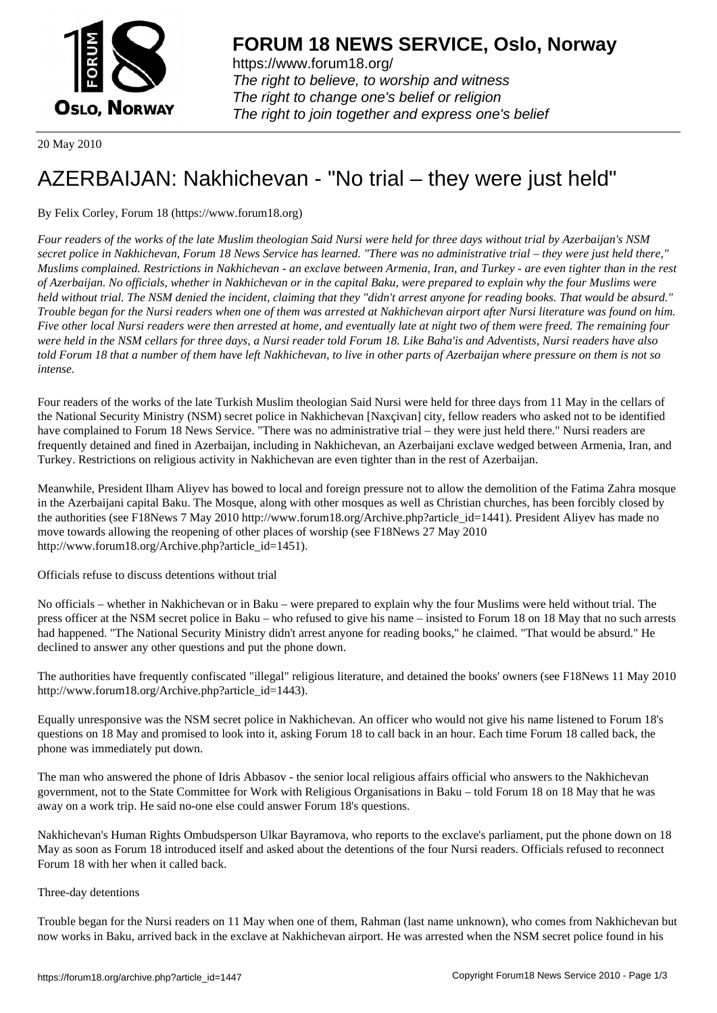

https://www.forum18.org/ The right to believe, to worship and witness The right to change one's belief or religion [The right to join together a](https://www.forum18.org/)nd express one's belief

20 May 2010

## [AZERBAIJAN: N](https://www.forum18.org)akhichevan - "No trial – they were just held"

## By Felix Corley, Forum 18 (https://www.forum18.org)

*Four readers of the works of the late Muslim theologian Said Nursi were held for three days without trial by Azerbaijan's NSM secret police in Nakhichevan, Forum 18 News Service has learned. "There was no administrative trial – they were just held there," Muslims complained. Restrictions in Nakhichevan - an exclave between Armenia, Iran, and Turkey - are even tighter than in the rest of Azerbaijan. No officials, whether in Nakhichevan or in the capital Baku, were prepared to explain why the four Muslims were held without trial. The NSM denied the incident, claiming that they "didn't arrest anyone for reading books. That would be absurd." Trouble began for the Nursi readers when one of them was arrested at Nakhichevan airport after Nursi literature was found on him. Five other local Nursi readers were then arrested at home, and eventually late at night two of them were freed. The remaining four were held in the NSM cellars for three days, a Nursi reader told Forum 18. Like Baha'is and Adventists, Nursi readers have also told Forum 18 that a number of them have left Nakhichevan, to live in other parts of Azerbaijan where pressure on them is not so intense.*

Four readers of the works of the late Turkish Muslim theologian Said Nursi were held for three days from 11 May in the cellars of the National Security Ministry (NSM) secret police in Nakhichevan [Naxçivan] city, fellow readers who asked not to be identified have complained to Forum 18 News Service. "There was no administrative trial – they were just held there." Nursi readers are frequently detained and fined in Azerbaijan, including in Nakhichevan, an Azerbaijani exclave wedged between Armenia, Iran, and Turkey. Restrictions on religious activity in Nakhichevan are even tighter than in the rest of Azerbaijan.

Meanwhile, President Ilham Aliyev has bowed to local and foreign pressure not to allow the demolition of the Fatima Zahra mosque in the Azerbaijani capital Baku. The Mosque, along with other mosques as well as Christian churches, has been forcibly closed by the authorities (see F18News 7 May 2010 http://www.forum18.org/Archive.php?article\_id=1441). President Aliyev has made no move towards allowing the reopening of other places of worship (see F18News 27 May 2010 http://www.forum18.org/Archive.php?article\_id=1451).

Officials refuse to discuss detentions without trial

No officials – whether in Nakhichevan or in Baku – were prepared to explain why the four Muslims were held without trial. The press officer at the NSM secret police in Baku – who refused to give his name – insisted to Forum 18 on 18 May that no such arrests had happened. "The National Security Ministry didn't arrest anyone for reading books," he claimed. "That would be absurd." He declined to answer any other questions and put the phone down.

The authorities have frequently confiscated "illegal" religious literature, and detained the books' owners (see F18News 11 May 2010 http://www.forum18.org/Archive.php?article\_id=1443).

Equally unresponsive was the NSM secret police in Nakhichevan. An officer who would not give his name listened to Forum 18's questions on 18 May and promised to look into it, asking Forum 18 to call back in an hour. Each time Forum 18 called back, the phone was immediately put down.

The man who answered the phone of Idris Abbasov - the senior local religious affairs official who answers to the Nakhichevan government, not to the State Committee for Work with Religious Organisations in Baku – told Forum 18 on 18 May that he was away on a work trip. He said no-one else could answer Forum 18's questions.

Nakhichevan's Human Rights Ombudsperson Ulkar Bayramova, who reports to the exclave's parliament, put the phone down on 18 May as soon as Forum 18 introduced itself and asked about the detentions of the four Nursi readers. Officials refused to reconnect Forum 18 with her when it called back.

## Three-day detentions

Trouble began for the Nursi readers on 11 May when one of them, Rahman (last name unknown), who comes from Nakhichevan but now works in Baku, arrived back in the exclave at Nakhichevan airport. He was arrested when the NSM secret police found in his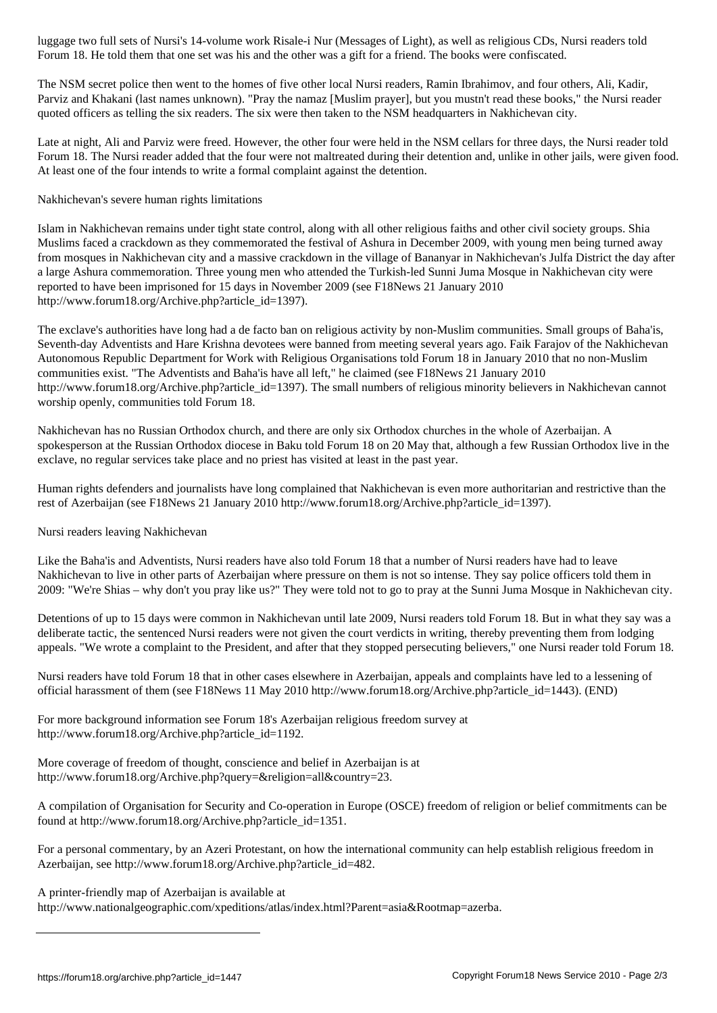The NSM secret police then went to the homes of five other local Nursi readers, Ramin Ibrahimov, and four others, Ali, Kadir, Parviz and Khakani (last names unknown). "Pray the namaz [Muslim prayer], but you mustn't read these books," the Nursi reader quoted officers as telling the six readers. The six were then taken to the NSM headquarters in Nakhichevan city.

 $\omega$  to the other was his and the other was his and the other was a gift for a friend. The books were confiscated. The books were confidented. The books were confidented. The books were confidented. The books were confide

Late at night, Ali and Parviz were freed. However, the other four were held in the NSM cellars for three days, the Nursi reader told Forum 18. The Nursi reader added that the four were not maltreated during their detention and, unlike in other jails, were given food. At least one of the four intends to write a formal complaint against the detention.

Nakhichevan's severe human rights limitations

Islam in Nakhichevan remains under tight state control, along with all other religious faiths and other civil society groups. Shia Muslims faced a crackdown as they commemorated the festival of Ashura in December 2009, with young men being turned away from mosques in Nakhichevan city and a massive crackdown in the village of Bananyar in Nakhichevan's Julfa District the day after a large Ashura commemoration. Three young men who attended the Turkish-led Sunni Juma Mosque in Nakhichevan city were reported to have been imprisoned for 15 days in November 2009 (see F18News 21 January 2010 http://www.forum18.org/Archive.php?article\_id=1397).

The exclave's authorities have long had a de facto ban on religious activity by non-Muslim communities. Small groups of Baha'is, Seventh-day Adventists and Hare Krishna devotees were banned from meeting several years ago. Faik Farajov of the Nakhichevan Autonomous Republic Department for Work with Religious Organisations told Forum 18 in January 2010 that no non-Muslim communities exist. "The Adventists and Baha'is have all left," he claimed (see F18News 21 January 2010 http://www.forum18.org/Archive.php?article\_id=1397). The small numbers of religious minority believers in Nakhichevan cannot worship openly, communities told Forum 18.

Nakhichevan has no Russian Orthodox church, and there are only six Orthodox churches in the whole of Azerbaijan. A spokesperson at the Russian Orthodox diocese in Baku told Forum 18 on 20 May that, although a few Russian Orthodox live in the exclave, no regular services take place and no priest has visited at least in the past year.

Human rights defenders and journalists have long complained that Nakhichevan is even more authoritarian and restrictive than the rest of Azerbaijan (see F18News 21 January 2010 http://www.forum18.org/Archive.php?article\_id=1397).

Nursi readers leaving Nakhichevan

Like the Baha'is and Adventists, Nursi readers have also told Forum 18 that a number of Nursi readers have had to leave Nakhichevan to live in other parts of Azerbaijan where pressure on them is not so intense. They say police officers told them in 2009: "We're Shias – why don't you pray like us?" They were told not to go to pray at the Sunni Juma Mosque in Nakhichevan city.

Detentions of up to 15 days were common in Nakhichevan until late 2009, Nursi readers told Forum 18. But in what they say was a deliberate tactic, the sentenced Nursi readers were not given the court verdicts in writing, thereby preventing them from lodging appeals. "We wrote a complaint to the President, and after that they stopped persecuting believers," one Nursi reader told Forum 18.

Nursi readers have told Forum 18 that in other cases elsewhere in Azerbaijan, appeals and complaints have led to a lessening of official harassment of them (see F18News 11 May 2010 http://www.forum18.org/Archive.php?article\_id=1443). (END)

For more background information see Forum 18's Azerbaijan religious freedom survey at http://www.forum18.org/Archive.php?article\_id=1192.

More coverage of freedom of thought, conscience and belief in Azerbaijan is at http://www.forum18.org/Archive.php?query=&religion=all&country=23.

A compilation of Organisation for Security and Co-operation in Europe (OSCE) freedom of religion or belief commitments can be found at http://www.forum18.org/Archive.php?article\_id=1351.

For a personal commentary, by an Azeri Protestant, on how the international community can help establish religious freedom in Azerbaijan, see http://www.forum18.org/Archive.php?article\_id=482.

A printer-friendly map of Azerbaijan is available at

http://www.nationalgeographic.com/xpeditions/atlas/index.html?Parent=asia&Rootmap=azerba.